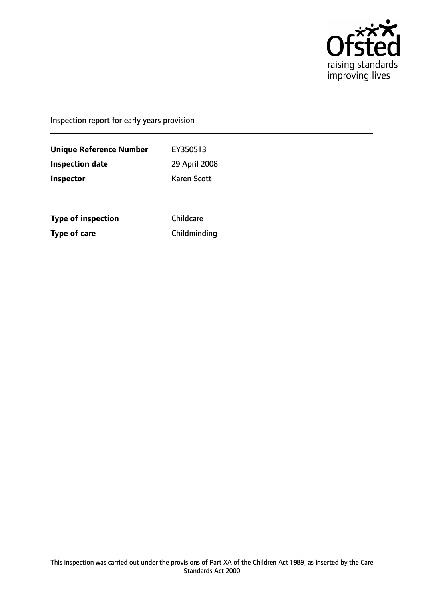

Inspection report for early years provision

**Unique Reference Number** EY350513 **Inspection date** 29 April 2008 **Inspector** Karen Scott

**Type of inspection** Childcare **Type of care** Childminding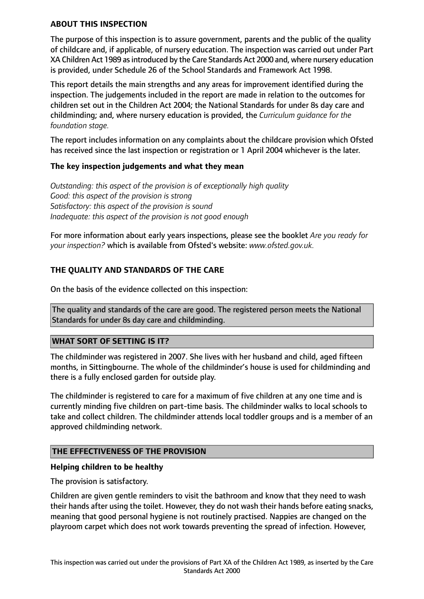#### **ABOUT THIS INSPECTION**

The purpose of this inspection is to assure government, parents and the public of the quality of childcare and, if applicable, of nursery education. The inspection was carried out under Part XA Children Act 1989 asintroduced by the Care Standards Act 2000 and, where nursery education is provided, under Schedule 26 of the School Standards and Framework Act 1998.

This report details the main strengths and any areas for improvement identified during the inspection. The judgements included in the report are made in relation to the outcomes for children set out in the Children Act 2004; the National Standards for under 8s day care and childminding; and, where nursery education is provided, the *Curriculum guidance for the foundation stage.*

The report includes information on any complaints about the childcare provision which Ofsted has received since the last inspection or registration or 1 April 2004 whichever is the later.

## **The key inspection judgements and what they mean**

*Outstanding: this aspect of the provision is of exceptionally high quality Good: this aspect of the provision is strong Satisfactory: this aspect of the provision is sound Inadequate: this aspect of the provision is not good enough*

For more information about early years inspections, please see the booklet *Are you ready for your inspection?* which is available from Ofsted's website: *www.ofsted.gov.uk.*

## **THE QUALITY AND STANDARDS OF THE CARE**

On the basis of the evidence collected on this inspection:

The quality and standards of the care are good. The registered person meets the National Standards for under 8s day care and childminding.

#### **WHAT SORT OF SETTING IS IT?**

The childminder was registered in 2007. She lives with her husband and child, aged fifteen months, in Sittingbourne. The whole of the childminder's house is used for childminding and there is a fully enclosed garden for outside play.

The childminder is registered to care for a maximum of five children at any one time and is currently minding five children on part-time basis. The childminder walks to local schools to take and collect children. The childminder attends local toddler groups and is a member of an approved childminding network.

## **THE EFFECTIVENESS OF THE PROVISION**

#### **Helping children to be healthy**

The provision is satisfactory.

Children are given gentle reminders to visit the bathroom and know that they need to wash their hands after using the toilet. However, they do not wash their hands before eating snacks, meaning that good personal hygiene is not routinely practised. Nappies are changed on the playroom carpet which does not work towards preventing the spread of infection. However,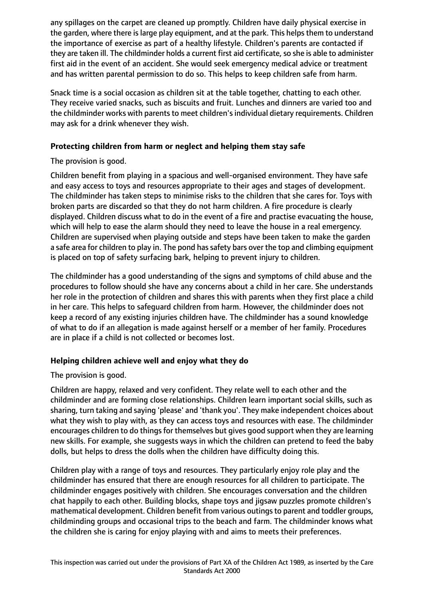any spillages on the carpet are cleaned up promptly. Children have daily physical exercise in the garden, where there is large play equipment, and at the park. This helps them to understand the importance of exercise as part of a healthy lifestyle. Children's parents are contacted if they are taken ill. The childminder holds a current first aid certificate, so she is able to administer first aid in the event of an accident. She would seek emergency medical advice or treatment and has written parental permission to do so. This helps to keep children safe from harm.

Snack time is a social occasion as children sit at the table together, chatting to each other. They receive varied snacks, such as biscuits and fruit. Lunches and dinners are varied too and the childminder works with parents to meet children's individual dietary requirements. Children may ask for a drink whenever they wish.

## **Protecting children from harm or neglect and helping them stay safe**

The provision is good.

Children benefit from playing in a spacious and well-organised environment. They have safe and easy access to toys and resources appropriate to their ages and stages of development. The childminder has taken steps to minimise risks to the children that she cares for. Toys with broken parts are discarded so that they do not harm children. A fire procedure is clearly displayed. Children discuss what to do in the event of a fire and practise evacuating the house, which will help to ease the alarm should they need to leave the house in a real emergency. Children are supervised when playing outside and steps have been taken to make the garden a safe area for children to play in. The pond has safety bars over the top and climbing equipment is placed on top of safety surfacing bark, helping to prevent injury to children.

The childminder has a good understanding of the signs and symptoms of child abuse and the procedures to follow should she have any concerns about a child in her care. She understands her role in the protection of children and shares this with parents when they first place a child in her care. This helps to safeguard children from harm. However, the childminder does not keep a record of any existing injuries children have. The childminder has a sound knowledge of what to do if an allegation is made against herself or a member of her family. Procedures are in place if a child is not collected or becomes lost.

# **Helping children achieve well and enjoy what they do**

The provision is good.

Children are happy, relaxed and very confident. They relate well to each other and the childminder and are forming close relationships. Children learn important social skills, such as sharing, turn taking and saying 'please' and 'thank you'. They make independent choices about what they wish to play with, as they can access toys and resources with ease. The childminder encourages children to do things for themselves but gives good support when they are learning new skills. For example, she suggests ways in which the children can pretend to feed the baby dolls, but helps to dress the dolls when the children have difficulty doing this.

Children play with a range of toys and resources. They particularly enjoy role play and the childminder has ensured that there are enough resources for all children to participate. The childminder engages positively with children. She encourages conversation and the children chat happily to each other. Building blocks, shape toys and jigsaw puzzles promote children's mathematical development. Children benefit from various outings to parent and toddler groups, childminding groups and occasional trips to the beach and farm. The childminder knows what the children she is caring for enjoy playing with and aims to meets their preferences.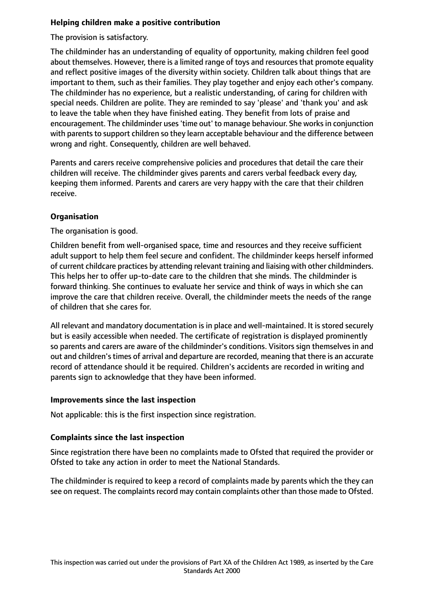## **Helping children make a positive contribution**

The provision is satisfactory.

The childminder has an understanding of equality of opportunity, making children feel good about themselves. However, there is a limited range of toys and resources that promote equality and reflect positive images of the diversity within society. Children talk about things that are important to them, such as their families. They play together and enjoy each other's company. The childminder has no experience, but a realistic understanding, of caring for children with special needs. Children are polite. They are reminded to say 'please' and 'thank you' and ask to leave the table when they have finished eating. They benefit from lots of praise and encouragement. The childminder uses'time out' to manage behaviour. She worksin conjunction with parents to support children so they learn acceptable behaviour and the difference between wrong and right. Consequently, children are well behaved.

Parents and carers receive comprehensive policies and procedures that detail the care their children will receive. The childminder gives parents and carers verbal feedback every day, keeping them informed. Parents and carers are very happy with the care that their children receive.

## **Organisation**

The organisation is good.

Children benefit from well-organised space, time and resources and they receive sufficient adult support to help them feel secure and confident. The childminder keeps herself informed of current childcare practices by attending relevant training and liaising with other childminders. This helps her to offer up-to-date care to the children that she minds. The childminder is forward thinking. She continues to evaluate her service and think of ways in which she can improve the care that children receive. Overall, the childminder meets the needs of the range of children that she cares for.

All relevant and mandatory documentation is in place and well-maintained. It is stored securely but is easily accessible when needed. The certificate of registration is displayed prominently so parents and carers are aware of the childminder's conditions. Visitors sign themselves in and out and children's times of arrival and departure are recorded, meaning that there is an accurate record of attendance should it be required. Children's accidents are recorded in writing and parents sign to acknowledge that they have been informed.

## **Improvements since the last inspection**

Not applicable: this is the first inspection since registration.

## **Complaints since the last inspection**

Since registration there have been no complaints made to Ofsted that required the provider or Ofsted to take any action in order to meet the National Standards.

The childminder is required to keep a record of complaints made by parents which the they can see on request. The complaints record may contain complaints other than those made to Ofsted.